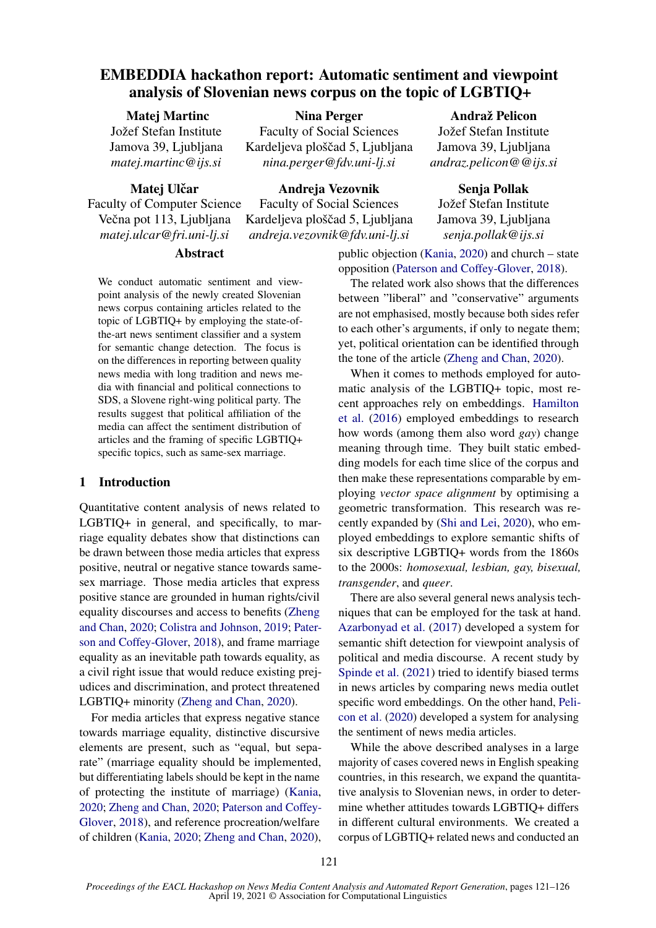# EMBEDDIA hackathon report: Automatic sentiment and viewpoint analysis of Slovenian news corpus on the topic of LGBTIQ+

Nina Perger Faculty of Social Sciences Kardeljeva ploščad 5, Ljubljana *nina.perger@fdv.uni-lj.si*

## Matej Martinc

Jožef Stefan Institute Jamova 39, Ljubljana *matej.martinc@ijs.si*

Matei Ulčar

Andreja Vezovnik

Faculty of Computer Science Večna pot 113, Ljubljana *matej.ulcar@fri.uni-lj.si*

## Abstract

We conduct automatic sentiment and viewpoint analysis of the newly created Slovenian news corpus containing articles related to the topic of LGBTIQ+ by employing the state-ofthe-art news sentiment classifier and a system for semantic change detection. The focus is on the differences in reporting between quality news media with long tradition and news media with financial and political connections to SDS, a Slovene right-wing political party. The results suggest that political affiliation of the media can affect the sentiment distribution of articles and the framing of specific LGBTIQ+ specific topics, such as same-sex marriage.

## 1 Introduction

Quantitative content analysis of news related to LGBTIQ+ in general, and specifically, to marriage equality debates show that distinctions can be drawn between those media articles that express positive, neutral or negative stance towards samesex marriage. Those media articles that express positive stance are grounded in human rights/civil equality discourses and access to benefits [\(Zheng](#page-5-0) [and Chan,](#page-5-0) [2020;](#page-5-0) [Colistra and Johnson,](#page-4-0) [2019;](#page-4-0) [Pater](#page-4-1)[son and Coffey-Glover,](#page-4-1) [2018\)](#page-4-1), and frame marriage equality as an inevitable path towards equality, as a civil right issue that would reduce existing prejudices and discrimination, and protect threatened LGBTIQ+ minority [\(Zheng and Chan,](#page-5-0) [2020\)](#page-5-0).

For media articles that express negative stance towards marriage equality, distinctive discursive elements are present, such as "equal, but separate" (marriage equality should be implemented, but differentiating labels should be kept in the name of protecting the institute of marriage) [\(Kania,](#page-4-2) [2020;](#page-4-2) [Zheng and Chan,](#page-5-0) [2020;](#page-5-0) [Paterson and Coffey-](#page-4-1)[Glover,](#page-4-1) [2018\)](#page-4-1), and reference procreation/welfare of children [\(Kania,](#page-4-2) [2020;](#page-4-2) [Zheng and Chan,](#page-5-0) [2020\)](#page-5-0),

Faculty of Social Sciences Kardeljeva ploščad 5, Ljubljana *andreja.vezovnik@fdv.uni-lj.si*

# Andraž Pelicon

Jožef Stefan Institute Jamova 39, Ljubljana *andraz.pelicon@@ijs.si*

#### Senja Pollak

Jožef Stefan Institute Jamova 39, Ljubljana *senja.pollak@ijs.si*

public objection [\(Kania,](#page-4-2) [2020\)](#page-4-2) and church – state opposition [\(Paterson and Coffey-Glover,](#page-4-1) [2018\)](#page-4-1).

The related work also shows that the differences between "liberal" and "conservative" arguments are not emphasised, mostly because both sides refer to each other's arguments, if only to negate them; yet, political orientation can be identified through the tone of the article [\(Zheng and Chan,](#page-5-0) [2020\)](#page-5-0).

When it comes to methods employed for automatic analysis of the LGBTIQ+ topic, most recent approaches rely on embeddings. [Hamilton](#page-4-3) [et al.](#page-4-3) [\(2016\)](#page-4-3) employed embeddings to research how words (among them also word *gay*) change meaning through time. They built static embedding models for each time slice of the corpus and then make these representations comparable by employing *vector space alignment* by optimising a geometric transformation. This research was recently expanded by [\(Shi and Lei,](#page-4-4) [2020\)](#page-4-4), who employed embeddings to explore semantic shifts of six descriptive LGBTIQ+ words from the 1860s to the 2000s: *homosexual, lesbian, gay, bisexual, transgender*, and *queer*.

There are also several general news analysis techniques that can be employed for the task at hand. [Azarbonyad et al.](#page-4-5) [\(2017\)](#page-4-5) developed a system for semantic shift detection for viewpoint analysis of political and media discourse. A recent study by [Spinde et al.](#page-4-6) [\(2021\)](#page-4-6) tried to identify biased terms in news articles by comparing news media outlet specific word embeddings. On the other hand, [Peli](#page-4-7)[con et al.](#page-4-7) [\(2020\)](#page-4-7) developed a system for analysing the sentiment of news media articles.

While the above described analyses in a large majority of cases covered news in English speaking countries, in this research, we expand the quantitative analysis to Slovenian news, in order to determine whether attitudes towards LGBTIQ+ differs in different cultural environments. We created a corpus of LGBTIQ+ related news and conducted an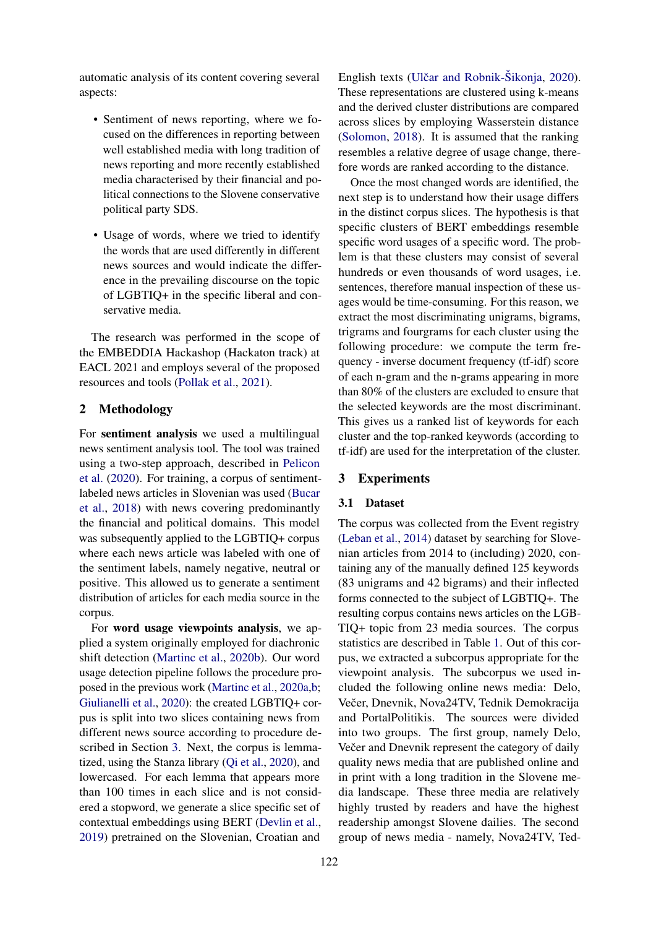automatic analysis of its content covering several aspects:

- Sentiment of news reporting, where we focused on the differences in reporting between well established media with long tradition of news reporting and more recently established media characterised by their financial and political connections to the Slovene conservative political party SDS.
- Usage of words, where we tried to identify the words that are used differently in different news sources and would indicate the difference in the prevailing discourse on the topic of LGBTIQ+ in the specific liberal and conservative media.

The research was performed in the scope of the EMBEDDIA Hackashop (Hackaton track) at EACL 2021 and employs several of the proposed resources and tools [\(Pollak et al.,](#page-4-8) [2021\)](#page-4-8).

## 2 Methodology

For sentiment analysis we used a multilingual news sentiment analysis tool. The tool was trained using a two-step approach, described in [Pelicon](#page-4-7) [et al.](#page-4-7) [\(2020\)](#page-4-7). For training, a corpus of sentimentlabeled news articles in Slovenian was used [\(Bucar](#page-4-9) [et al.,](#page-4-9) [2018\)](#page-4-9) with news covering predominantly the financial and political domains. This model was subsequently applied to the LGBTIQ+ corpus where each news article was labeled with one of the sentiment labels, namely negative, neutral or positive. This allowed us to generate a sentiment distribution of articles for each media source in the corpus.

For word usage viewpoints analysis, we applied a system originally employed for diachronic shift detection [\(Martinc et al.,](#page-4-10) [2020b\)](#page-4-10). Our word usage detection pipeline follows the procedure proposed in the previous work [\(Martinc et al.,](#page-4-11) [2020a](#page-4-11)[,b;](#page-4-10) [Giulianelli et al.,](#page-4-12) [2020\)](#page-4-12): the created LGBTIQ+ corpus is split into two slices containing news from different news source according to procedure described in Section [3.](#page-1-0) Next, the corpus is lemmatized, using the Stanza library [\(Qi et al.,](#page-4-13) [2020\)](#page-4-13), and lowercased. For each lemma that appears more than 100 times in each slice and is not considered a stopword, we generate a slice specific set of contextual embeddings using BERT [\(Devlin et al.,](#page-4-14) [2019\)](#page-4-14) pretrained on the Slovenian, Croatian and

English texts (Ulčar and Robnik-Šikonja, [2020\)](#page-5-1). These representations are clustered using k-means and the derived cluster distributions are compared across slices by employing Wasserstein distance [\(Solomon,](#page-4-15) [2018\)](#page-4-15). It is assumed that the ranking resembles a relative degree of usage change, therefore words are ranked according to the distance.

Once the most changed words are identified, the next step is to understand how their usage differs in the distinct corpus slices. The hypothesis is that specific clusters of BERT embeddings resemble specific word usages of a specific word. The problem is that these clusters may consist of several hundreds or even thousands of word usages, i.e. sentences, therefore manual inspection of these usages would be time-consuming. For this reason, we extract the most discriminating unigrams, bigrams, trigrams and fourgrams for each cluster using the following procedure: we compute the term frequency - inverse document frequency (tf-idf) score of each n-gram and the n-grams appearing in more than 80% of the clusters are excluded to ensure that the selected keywords are the most discriminant. This gives us a ranked list of keywords for each cluster and the top-ranked keywords (according to tf-idf) are used for the interpretation of the cluster.

## <span id="page-1-0"></span>3 Experiments

#### 3.1 Dataset

The corpus was collected from the Event registry [\(Leban et al.,](#page-4-16) [2014\)](#page-4-16) dataset by searching for Slovenian articles from 2014 to (including) 2020, containing any of the manually defined 125 keywords (83 unigrams and 42 bigrams) and their inflected forms connected to the subject of LGBTIQ+. The resulting corpus contains news articles on the LGB-TIQ+ topic from 23 media sources. The corpus statistics are described in Table [1.](#page-2-0) Out of this corpus, we extracted a subcorpus appropriate for the viewpoint analysis. The subcorpus we used included the following online news media: Delo, Večer, Dnevnik, Nova24TV, Tednik Demokracija and PortalPolitikis. The sources were divided into two groups. The first group, namely Delo, Večer and Dnevnik represent the category of daily quality news media that are published online and in print with a long tradition in the Slovene media landscape. These three media are relatively highly trusted by readers and have the highest readership amongst Slovene dailies. The second group of news media - namely, Nova24TV, Ted-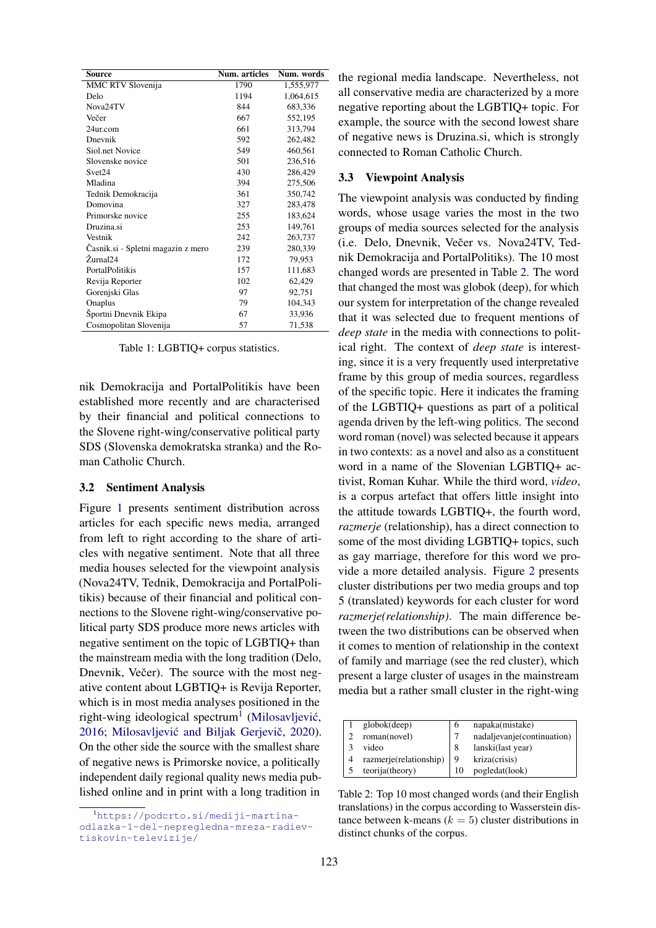<span id="page-2-0"></span>

| Source                             | Num. articles | Num. words |
|------------------------------------|---------------|------------|
| MMC RTV Slovenija                  | 1790          | 1,555,977  |
| Delo                               | 1194          | 1,064,615  |
| Nova24TV                           | 844           | 683,336    |
| Večer                              | 667           | 552,195    |
| 24ur.com                           | 661           | 313,794    |
| Dnevnik                            | 592           | 262,482    |
| Siol.net Novice                    | 549           | 460,561    |
| Slovenske novice                   | 501           | 236,516    |
| Svet24                             | 430           | 286,429    |
| Mladina                            | 394           | 275,506    |
| Tednik Demokracija                 | 361           | 350,742    |
| Domovina                           | 327           | 283,478    |
| Primorske novice                   | 255           | 183,624    |
| Druzina.si                         | 253           | 149,761    |
| Vestnik                            | 242           | 263,737    |
| Casnik.si - Spletni magazin z mero | 239           | 280,339    |
| Žurnal24                           | 172           | 79,953     |
| <b>PortalPolitikis</b>             | 157           | 111,683    |
| Revija Reporter                    | 102           | 62,429     |
| Gorenjski Glas                     | 97            | 92,751     |
| Onaplus                            | 79            | 104,343    |
| Športni Dnevnik Ekipa              | 67            | 33,936     |
| Cosmopolitan Slovenija             | 57            | 71,538     |

Table 1: LGBTIQ+ corpus statistics.

nik Demokracija and PortalPolitikis have been established more recently and are characterised by their financial and political connections to the Slovene right-wing/conservative political party SDS (Slovenska demokratska stranka) and the Roman Catholic Church.

#### 3.2 Sentiment Analysis

Figure [1](#page-3-0) presents sentiment distribution across articles for each specific news media, arranged from left to right according to the share of articles with negative sentiment. Note that all three media houses selected for the viewpoint analysis (Nova24TV, Tednik, Demokracija and PortalPolitikis) because of their financial and political connections to the Slovene right-wing/conservative political party SDS produce more news articles with negative sentiment on the topic of LGBTIQ+ than the mainstream media with the long tradition (Delo, Dnevnik, Večer). The source with the most negative content about LGBTIQ+ is Revija Reporter, which is in most media analyses positioned in the right-wing ideological spectrum<sup>[1](#page-2-1)</sup> (Milosavljević, [2016;](#page-4-17) Milosavljević and Biljak Gerjevič, [2020\)](#page-4-18). On the other side the source with the smallest share of negative news is Primorske novice, a politically independent daily regional quality news media published online and in print with a long tradition in

the regional media landscape. Nevertheless, not all conservative media are characterized by a more negative reporting about the LGBTIQ+ topic. For example, the source with the second lowest share of negative news is Druzina.si, which is strongly connected to Roman Catholic Church.

#### 3.3 Viewpoint Analysis

The viewpoint analysis was conducted by finding words, whose usage varies the most in the two groups of media sources selected for the analysis (i.e. Delo, Dnevnik, Večer vs. Nova24TV, Tednik Demokracija and PortalPolitiks). The 10 most changed words are presented in Table [2.](#page-2-2) The word that changed the most was globok (deep), for which our system for interpretation of the change revealed that it was selected due to frequent mentions of *deep state* in the media with connections to political right. The context of *deep state* is interesting, since it is a very frequently used interpretative frame by this group of media sources, regardless of the specific topic. Here it indicates the framing of the LGBTIQ+ questions as part of a political agenda driven by the left-wing politics. The second word roman (novel) was selected because it appears in two contexts: as a novel and also as a constituent word in a name of the Slovenian LGBTIQ+ activist, Roman Kuhar. While the third word, *video*, is a corpus artefact that offers little insight into the attitude towards LGBTIQ+, the fourth word, *razmerje* (relationship), has a direct connection to some of the most dividing LGBTIQ+ topics, such as gay marriage, therefore for this word we provide a more detailed analysis. Figure [2](#page-3-1) presents cluster distributions per two media groups and top 5 (translated) keywords for each cluster for word *razmerje(relationship)*. The main difference between the two distributions can be observed when it comes to mention of relationship in the context of family and marriage (see the red cluster), which present a large cluster of usages in the mainstream media but a rather small cluster in the right-wing

<span id="page-2-2"></span>

| globok(deep)           |    | napaka(mistake)            |
|------------------------|----|----------------------------|
| roman(novel)           |    | nadaljevanje(continuation) |
| video                  | 8  | lanski(last year)          |
| razmerje(relationship) |    | kriza(crisis)              |
| teorija(theory)        | 10 | pogledat(look)             |

Table 2: Top 10 most changed words (and their English translations) in the corpus according to Wasserstein distance between k-means ( $k = 5$ ) cluster distributions in distinct chunks of the corpus.

<span id="page-2-1"></span><sup>1</sup>[https://podcrto.si/mediji-martina](https://podcrto.si/mediji-martina-odlazka-1-del-nepregledna-mreza-radiev-tiskovin-televizije/)[odlazka-1-del-nepregledna-mreza-radiev](https://podcrto.si/mediji-martina-odlazka-1-del-nepregledna-mreza-radiev-tiskovin-televizije/)[tiskovin-televizije/](https://podcrto.si/mediji-martina-odlazka-1-del-nepregledna-mreza-radiev-tiskovin-televizije/)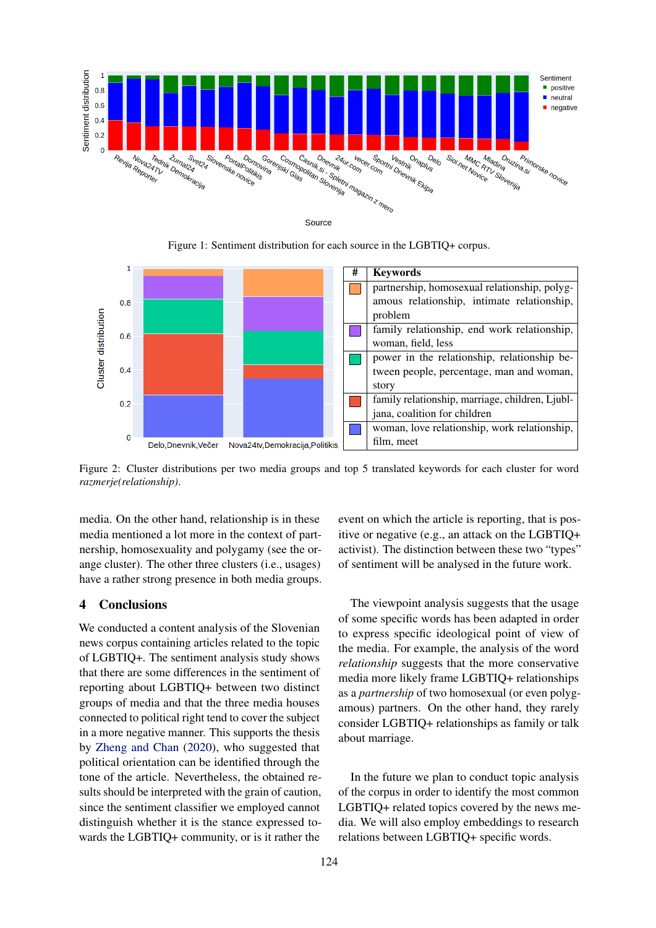<span id="page-3-0"></span>

Figure 1: Sentiment distribution for each source in the LGBTIQ+ corpus.

<span id="page-3-1"></span>

Figure 2: Cluster distributions per two media groups and top 5 translated keywords for each cluster for word *razmerje(relationship)*.

media. On the other hand, relationship is in these media mentioned a lot more in the context of partnership, homosexuality and polygamy (see the orange cluster). The other three clusters (i.e., usages) have a rather strong presence in both media groups.

## 4 Conclusions

We conducted a content analysis of the Slovenian news corpus containing articles related to the topic of LGBTIQ+. The sentiment analysis study shows that there are some differences in the sentiment of reporting about LGBTIQ+ between two distinct groups of media and that the three media houses connected to political right tend to cover the subject in a more negative manner. This supports the thesis by [Zheng and Chan](#page-5-0) [\(2020\)](#page-5-0), who suggested that political orientation can be identified through the tone of the article. Nevertheless, the obtained results should be interpreted with the grain of caution, since the sentiment classifier we employed cannot distinguish whether it is the stance expressed towards the LGBTIQ+ community, or is it rather the

event on which the article is reporting, that is positive or negative (e.g., an attack on the LGBTIQ+ activist). The distinction between these two "types" of sentiment will be analysed in the future work.

The viewpoint analysis suggests that the usage of some specific words has been adapted in order to express specific ideological point of view of the media. For example, the analysis of the word *relationship* suggests that the more conservative media more likely frame LGBTIQ+ relationships as a *partnership* of two homosexual (or even polygamous) partners. On the other hand, they rarely consider LGBTIQ+ relationships as family or talk about marriage.

In the future we plan to conduct topic analysis of the corpus in order to identify the most common LGBTIQ+ related topics covered by the news media. We will also employ embeddings to research relations between LGBTIQ+ specific words.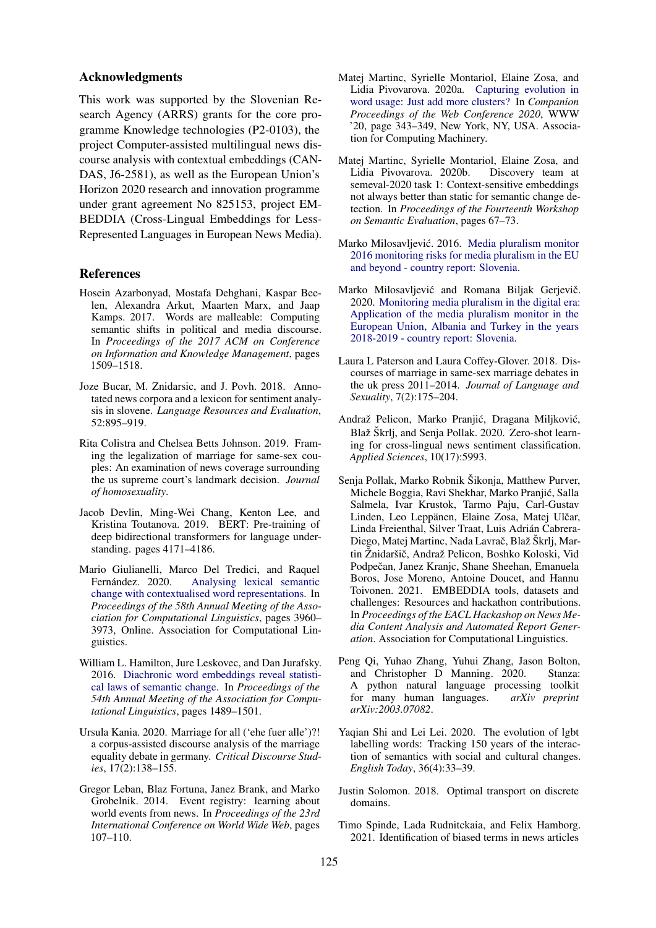#### Acknowledgments

This work was supported by the Slovenian Research Agency (ARRS) grants for the core programme Knowledge technologies (P2-0103), the project Computer-assisted multilingual news discourse analysis with contextual embeddings (CAN-DAS, J6-2581), as well as the European Union's Horizon 2020 research and innovation programme under grant agreement No 825153, project EM-BEDDIA (Cross-Lingual Embeddings for Less-Represented Languages in European News Media).

### References

- <span id="page-4-5"></span>Hosein Azarbonyad, Mostafa Dehghani, Kaspar Beelen, Alexandra Arkut, Maarten Marx, and Jaap Kamps. 2017. Words are malleable: Computing semantic shifts in political and media discourse. In *Proceedings of the 2017 ACM on Conference on Information and Knowledge Management*, pages 1509–1518.
- <span id="page-4-9"></span>Joze Bucar, M. Znidarsic, and J. Povh. 2018. Annotated news corpora and a lexicon for sentiment analysis in slovene. *Language Resources and Evaluation*, 52:895–919.
- <span id="page-4-0"></span>Rita Colistra and Chelsea Betts Johnson. 2019. Framing the legalization of marriage for same-sex couples: An examination of news coverage surrounding the us supreme court's landmark decision. *Journal of homosexuality*.
- <span id="page-4-14"></span>Jacob Devlin, Ming-Wei Chang, Kenton Lee, and Kristina Toutanova. 2019. BERT: Pre-training of deep bidirectional transformers for language understanding. pages 4171–4186.
- <span id="page-4-12"></span>Mario Giulianelli, Marco Del Tredici, and Raquel Fernández. 2020. [Analysing lexical semantic](https://www.aclweb.org/anthology/2020.acl-main.365) [change with contextualised word representations.](https://www.aclweb.org/anthology/2020.acl-main.365) In *Proceedings of the 58th Annual Meeting of the Association for Computational Linguistics*, pages 3960– 3973, Online. Association for Computational Linguistics.
- <span id="page-4-3"></span>William L. Hamilton, Jure Leskovec, and Dan Jurafsky. 2016. [Diachronic word embeddings reveal statisti](https://doi.org/10.18653/v1/P16-1141)[cal laws of semantic change.](https://doi.org/10.18653/v1/P16-1141) In *Proceedings of the 54th Annual Meeting of the Association for Computational Linguistics*, pages 1489–1501.
- <span id="page-4-2"></span>Ursula Kania. 2020. Marriage for all ('ehe fuer alle')?! a corpus-assisted discourse analysis of the marriage equality debate in germany. *Critical Discourse Studies*, 17(2):138–155.
- <span id="page-4-16"></span>Gregor Leban, Blaz Fortuna, Janez Brank, and Marko Grobelnik. 2014. Event registry: learning about world events from news. In *Proceedings of the 23rd International Conference on World Wide Web*, pages 107–110.
- <span id="page-4-11"></span>Matej Martinc, Syrielle Montariol, Elaine Zosa, and Lidia Pivovarova. 2020a. [Capturing evolution in](https://doi.org/10.1145/3366424.3382186) [word usage: Just add more clusters?](https://doi.org/10.1145/3366424.3382186) In *Companion Proceedings of the Web Conference 2020*, WWW '20, page 343–349, New York, NY, USA. Association for Computing Machinery.
- <span id="page-4-10"></span>Matej Martinc, Syrielle Montariol, Elaine Zosa, and Lidia Pivovarova. 2020b. Discovery team at semeval-2020 task 1: Context-sensitive embeddings not always better than static for semantic change detection. In *Proceedings of the Fourteenth Workshop on Semantic Evaluation*, pages 67–73.
- <span id="page-4-17"></span>Marko Milosavljević. 2016. [Media pluralism monitor](https://cmpf.eui.eu/media-pluralism-monitor/mpm-2016-results/slovenia/) [2016 monitoring risks for media pluralism in the EU](https://cmpf.eui.eu/media-pluralism-monitor/mpm-2016-results/slovenia/) [and beyond - country report: Slovenia.](https://cmpf.eui.eu/media-pluralism-monitor/mpm-2016-results/slovenia/)
- <span id="page-4-18"></span>Marko Milosavljević and Romana Biljak Gerjevič. 2020. [Monitoring media pluralism in the digital era:](https://cadmus.eui.eu/bitstream/handle/1814/67818/slovenia_results_mpm_2020_cmpf.pdf?sequence=3) [Application of the media pluralism monitor in the](https://cadmus.eui.eu/bitstream/handle/1814/67818/slovenia_results_mpm_2020_cmpf.pdf?sequence=3) [European Union, Albania and Turkey in the years](https://cadmus.eui.eu/bitstream/handle/1814/67818/slovenia_results_mpm_2020_cmpf.pdf?sequence=3) [2018-2019 - country report: Slovenia.](https://cadmus.eui.eu/bitstream/handle/1814/67818/slovenia_results_mpm_2020_cmpf.pdf?sequence=3)
- <span id="page-4-1"></span>Laura L Paterson and Laura Coffey-Glover. 2018. Discourses of marriage in same-sex marriage debates in the uk press 2011–2014. *Journal of Language and Sexuality*, 7(2):175–204.
- <span id="page-4-7"></span>Andraž Pelicon, Marko Pranjić, Dragana Miljković, Blaž Škrlj, and Senja Pollak. 2020. Zero-shot learning for cross-lingual news sentiment classification. *Applied Sciences*, 10(17):5993.
- <span id="page-4-8"></span>Senja Pollak, Marko Robnik Šikonja, Matthew Purver, Michele Boggia, Ravi Shekhar, Marko Pranjic, Salla ´ Salmela, Ivar Krustok, Tarmo Paju, Carl-Gustav Linden, Leo Leppänen, Elaine Zosa, Matej Ulčar, Linda Freienthal, Silver Traat, Luis Adrian Cabrera- ´ Diego, Matej Martinc, Nada Lavrač, Blaž Škrlj, Martin Žnidaršič, Andraž Pelicon, Boshko Koloski, Vid Podpečan, Janez Kranjc, Shane Sheehan, Emanuela Boros, Jose Moreno, Antoine Doucet, and Hannu Toivonen. 2021. EMBEDDIA tools, datasets and challenges: Resources and hackathon contributions. In *Proceedings of the EACL Hackashop on News Media Content Analysis and Automated Report Generation*. Association for Computational Linguistics.
- <span id="page-4-13"></span>Peng Qi, Yuhao Zhang, Yuhui Zhang, Jason Bolton, and Christopher D Manning. 2020. Stanza: A python natural language processing toolkit for many human languages. *arXiv preprint arXiv:2003.07082*.
- <span id="page-4-4"></span>Yaqian Shi and Lei Lei. 2020. The evolution of lgbt labelling words: Tracking 150 years of the interaction of semantics with social and cultural changes. *English Today*, 36(4):33–39.
- <span id="page-4-15"></span>Justin Solomon. 2018. Optimal transport on discrete domains.
- <span id="page-4-6"></span>Timo Spinde, Lada Rudnitckaia, and Felix Hamborg. 2021. Identification of biased terms in news articles